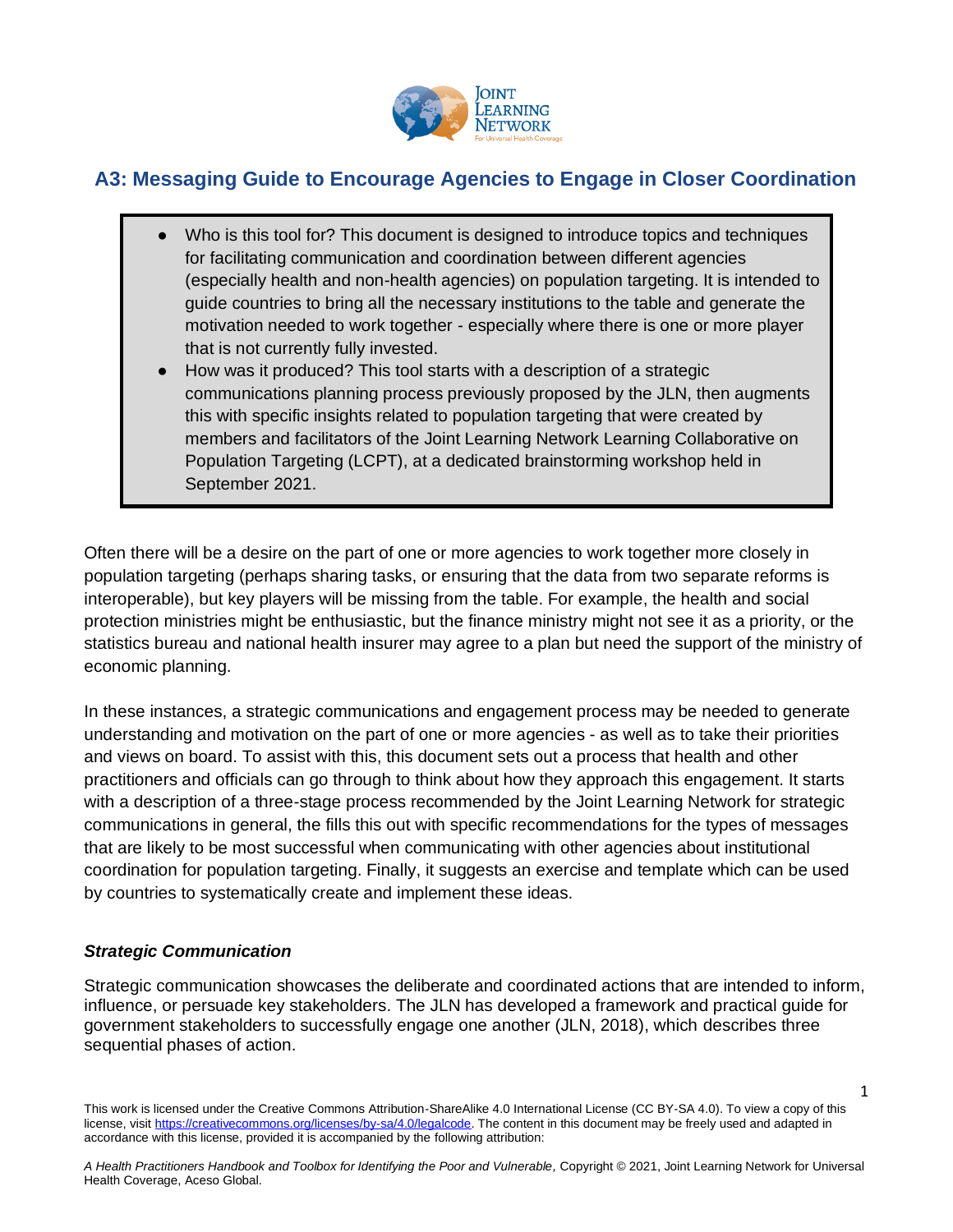

# **A3: Messaging Guide to Encourage Agencies to Engage in Closer Coordination**

- Who is this tool for? This document is designed to introduce topics and techniques for facilitating communication and coordination between different agencies (especially health and non-health agencies) on population targeting. It is intended to guide countries to bring all the necessary institutions to the table and generate the motivation needed to work together - especially where there is one or more player that is not currently fully invested.
- How was it produced? This tool starts with a description of a strategic communications planning process previously proposed by the JLN, then augments this with specific insights related to population targeting that were created by members and facilitators of the Joint Learning Network Learning Collaborative on Population Targeting (LCPT), at a dedicated brainstorming workshop held in September 2021.

Often there will be a desire on the part of one or more agencies to work together more closely in population targeting (perhaps sharing tasks, or ensuring that the data from two separate reforms is interoperable), but key players will be missing from the table. For example, the health and social protection ministries might be enthusiastic, but the finance ministry might not see it as a priority, or the statistics bureau and national health insurer may agree to a plan but need the support of the ministry of economic planning.

In these instances, a strategic communications and engagement process may be needed to generate understanding and motivation on the part of one or more agencies - as well as to take their priorities and views on board. To assist with this, this document sets out a process that health and other practitioners and officials can go through to think about how they approach this engagement. It starts with a description of a three-stage process recommended by the Joint Learning Network for strategic communications in general, the fills this out with specific recommendations for the types of messages that are likely to be most successful when communicating with other agencies about institutional coordination for population targeting. Finally, it suggests an exercise and template which can be used by countries to systematically create and implement these ideas.

### *Strategic Communication*

Strategic communication showcases the deliberate and coordinated actions that are intended to inform, influence, or persuade key stakeholders. The JLN has developed a framework and practical guide for government stakeholders to successfully engage one another (JLN, 2018), which describes three sequential phases of action.

1

This work is licensed under the Creative Commons Attribution-ShareAlike 4.0 International License (CC BY-SA 4.0). To view a copy of this license, visi[t https://creativecommons.org/licenses/by-sa/4.0/legalcode.](https://creativecommons.org/licenses/by-sa/4.0/legalcode) The content in this document may be freely used and adapted in accordance with this license, provided it is accompanied by the following attribution: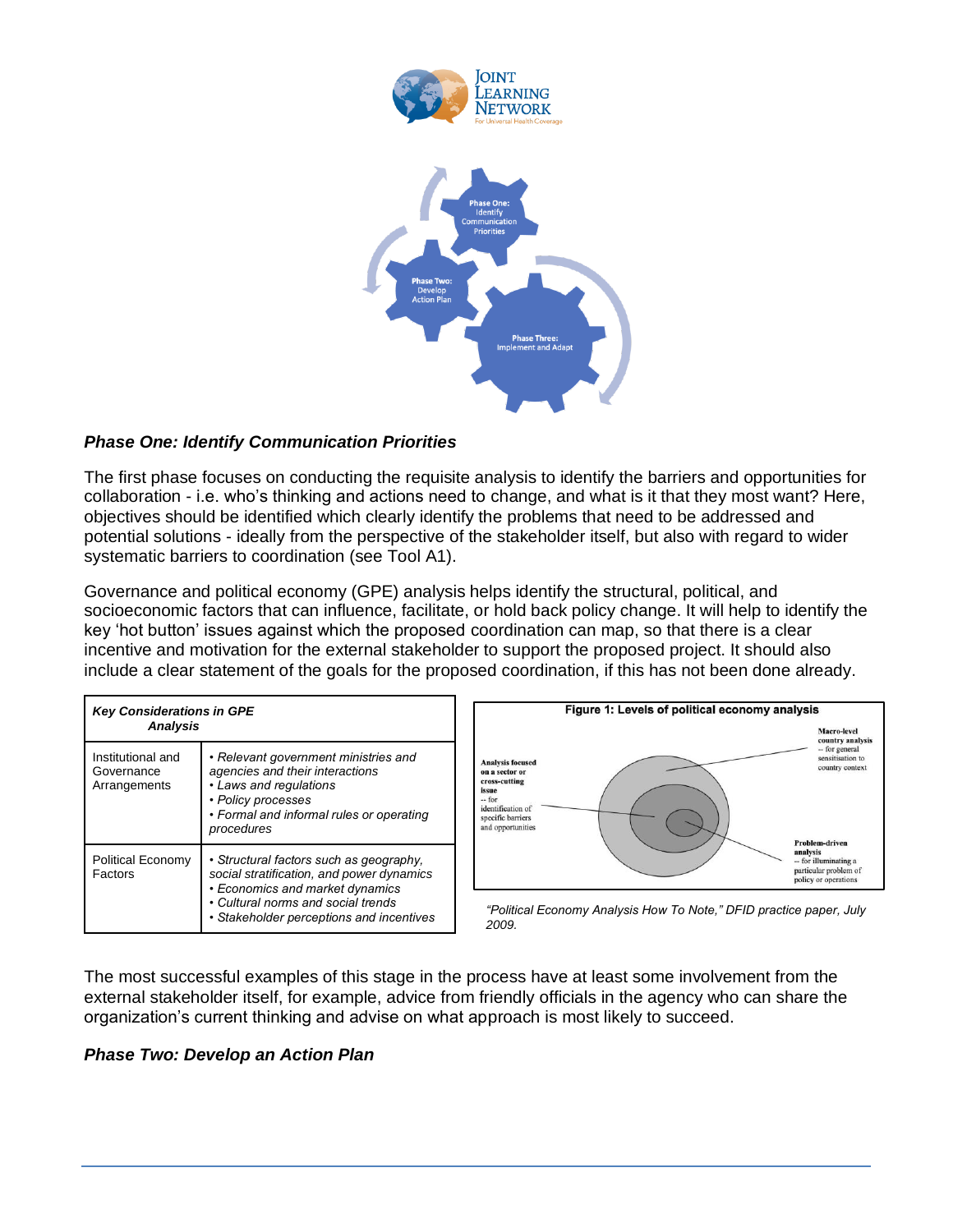

## *Phase One: Identify Communication Priorities*

The first phase focuses on conducting the requisite analysis to identify the barriers and opportunities for collaboration - i.e. who's thinking and actions need to change, and what is it that they most want? Here, objectives should be identified which clearly identify the problems that need to be addressed and potential solutions - ideally from the perspective of the stakeholder itself, but also with regard to wider systematic barriers to coordination (see Tool A1).

Governance and political economy (GPE) analysis helps identify the structural, political, and socioeconomic factors that can influence, facilitate, or hold back policy change. It will help to identify the key 'hot button' issues against which the proposed coordination can map, so that there is a clear incentive and motivation for the external stakeholder to support the proposed project. It should also include a clear statement of the goals for the proposed coordination, if this has not been done already.

| <b>Key Considerations in GPE</b><br><b>Analysis</b> |                                                                                                                                                                                                           |
|-----------------------------------------------------|-----------------------------------------------------------------------------------------------------------------------------------------------------------------------------------------------------------|
| Institutional and<br>Governance<br>Arrangements     | • Relevant government ministries and<br>agencies and their interactions<br>• Laws and regulations<br>• Policy processes<br>• Formal and informal rules or operating<br>procedures                         |
| Political Economy<br>Factors                        | • Structural factors such as geography,<br>social stratification, and power dynamics<br>• Economics and market dynamics<br>• Cultural norms and social trends<br>• Stakeholder perceptions and incentives |



*"Political Economy Analysis How To Note," DFID practice paper, July 2009.*

The most successful examples of this stage in the process have at least some involvement from the external stakeholder itself, for example, advice from friendly officials in the agency who can share the organization's current thinking and advise on what approach is most likely to succeed.

### *Phase Two: Develop an Action Plan*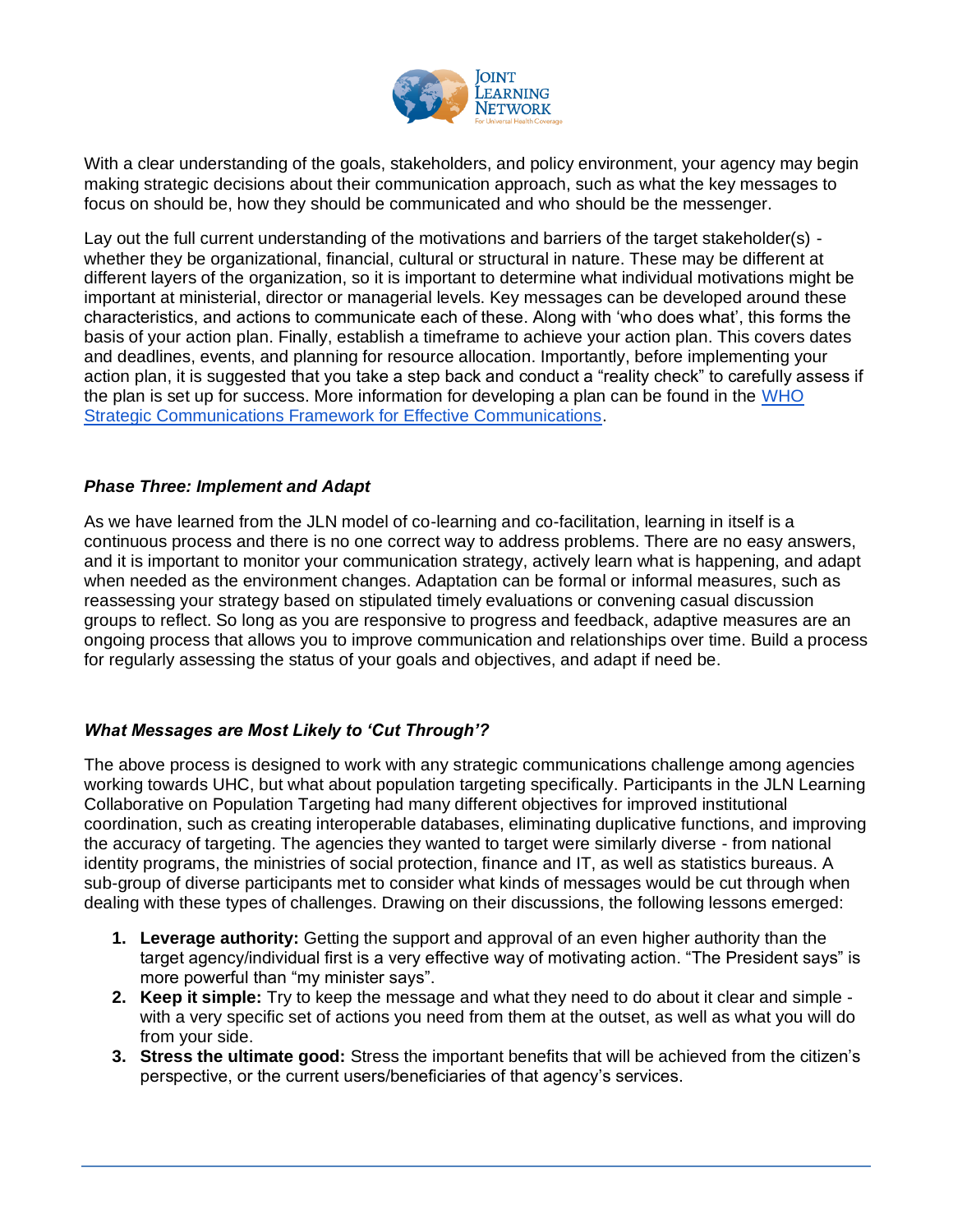

With a clear understanding of the goals, stakeholders, and policy environment, your agency may begin making strategic decisions about their communication approach, such as what the key messages to focus on should be, how they should be communicated and who should be the messenger.

Lay out the full current understanding of the motivations and barriers of the target stakeholder(s) whether they be organizational, financial, cultural or structural in nature. These may be different at different layers of the organization, so it is important to determine what individual motivations might be important at ministerial, director or managerial levels. Key messages can be developed around these characteristics, and actions to communicate each of these. Along with 'who does what', this forms the basis of your action plan. Finally, establish a timeframe to achieve your action plan. This covers dates and deadlines, events, and planning for resource allocation. Importantly, before implementing your action plan, it is suggested that you take a step back and conduct a "reality check" to carefully assess if the plan is set up for success. More information for developing a plan can be found in the [WHO](https://cdn.who.int/media/docs/default-source/documents/communication-framework.pdf?sfvrsn=93aa6138_0)  [Strategic Communications Framework for Effective Communications.](https://cdn.who.int/media/docs/default-source/documents/communication-framework.pdf?sfvrsn=93aa6138_0)

### *Phase Three: Implement and Adapt*

As we have learned from the JLN model of co-learning and co-facilitation, learning in itself is a continuous process and there is no one correct way to address problems. There are no easy answers, and it is important to monitor your communication strategy, actively learn what is happening, and adapt when needed as the environment changes. Adaptation can be formal or informal measures, such as reassessing your strategy based on stipulated timely evaluations or convening casual discussion groups to reflect. So long as you are responsive to progress and feedback, adaptive measures are an ongoing process that allows you to improve communication and relationships over time. Build a process for regularly assessing the status of your goals and objectives, and adapt if need be.

### *What Messages are Most Likely to 'Cut Through'?*

The above process is designed to work with any strategic communications challenge among agencies working towards UHC, but what about population targeting specifically. Participants in the JLN Learning Collaborative on Population Targeting had many different objectives for improved institutional coordination, such as creating interoperable databases, eliminating duplicative functions, and improving the accuracy of targeting. The agencies they wanted to target were similarly diverse - from national identity programs, the ministries of social protection, finance and IT, as well as statistics bureaus. A sub-group of diverse participants met to consider what kinds of messages would be cut through when dealing with these types of challenges. Drawing on their discussions, the following lessons emerged:

- **1. Leverage authority:** Getting the support and approval of an even higher authority than the target agency/individual first is a very effective way of motivating action. "The President says" is more powerful than "my minister says".
- **2. Keep it simple:** Try to keep the message and what they need to do about it clear and simple with a very specific set of actions you need from them at the outset, as well as what you will do from your side.
- **3. Stress the ultimate good:** Stress the important benefits that will be achieved from the citizen's perspective, or the current users/beneficiaries of that agency's services.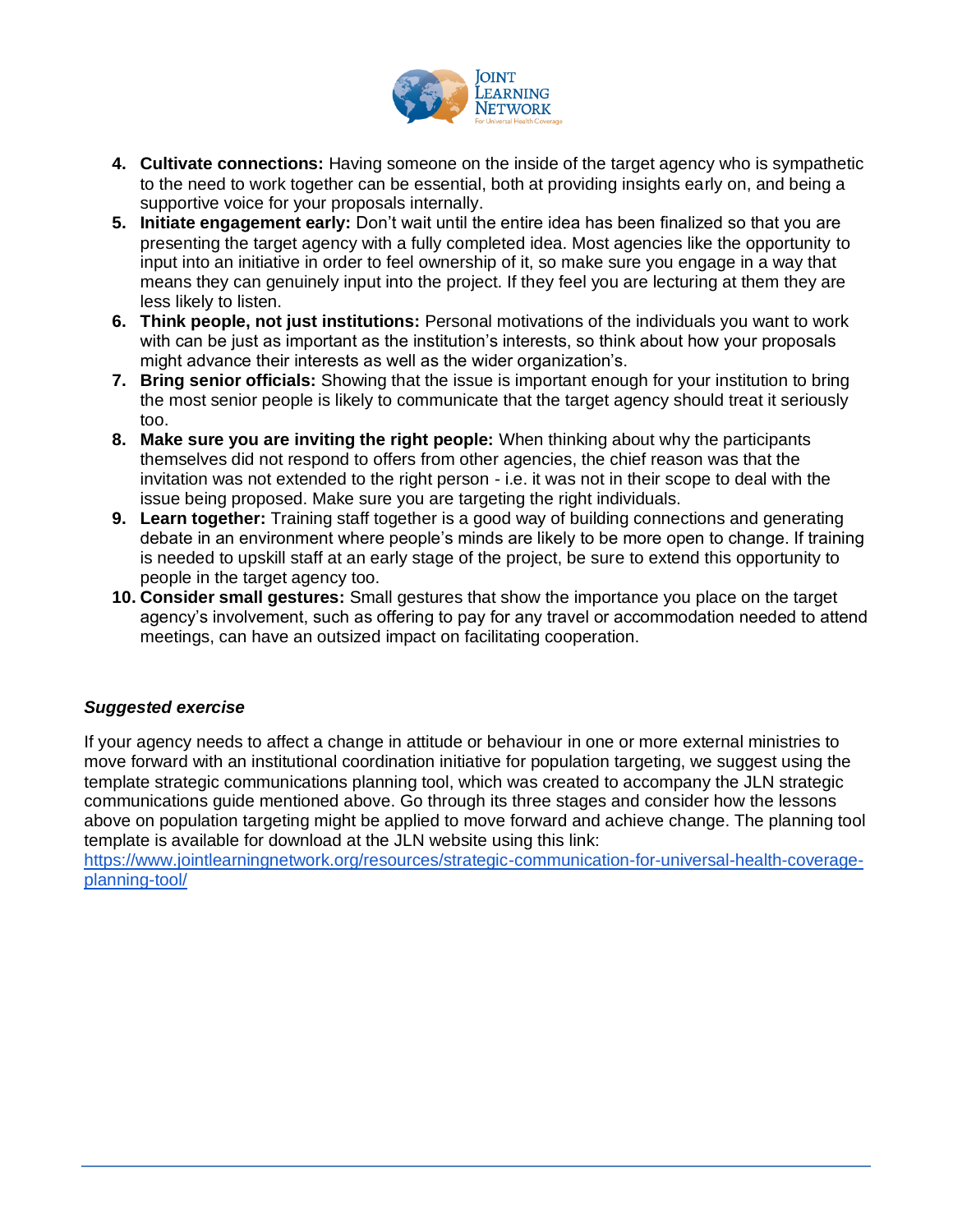

- **4. Cultivate connections:** Having someone on the inside of the target agency who is sympathetic to the need to work together can be essential, both at providing insights early on, and being a supportive voice for your proposals internally.
- **5. Initiate engagement early:** Don't wait until the entire idea has been finalized so that you are presenting the target agency with a fully completed idea. Most agencies like the opportunity to input into an initiative in order to feel ownership of it, so make sure you engage in a way that means they can genuinely input into the project. If they feel you are lecturing at them they are less likely to listen.
- **6. Think people, not just institutions:** Personal motivations of the individuals you want to work with can be just as important as the institution's interests, so think about how your proposals might advance their interests as well as the wider organization's.
- **7. Bring senior officials:** Showing that the issue is important enough for your institution to bring the most senior people is likely to communicate that the target agency should treat it seriously too.
- **8. Make sure you are inviting the right people:** When thinking about why the participants themselves did not respond to offers from other agencies, the chief reason was that the invitation was not extended to the right person - i.e. it was not in their scope to deal with the issue being proposed. Make sure you are targeting the right individuals.
- **9. Learn together:** Training staff together is a good way of building connections and generating debate in an environment where people's minds are likely to be more open to change. If training is needed to upskill staff at an early stage of the project, be sure to extend this opportunity to people in the target agency too.
- **10. Consider small gestures:** Small gestures that show the importance you place on the target agency's involvement, such as offering to pay for any travel or accommodation needed to attend meetings, can have an outsized impact on facilitating cooperation.

## *Suggested exercise*

If your agency needs to affect a change in attitude or behaviour in one or more external ministries to move forward with an institutional coordination initiative for population targeting, we suggest using the template strategic communications planning tool, which was created to accompany the JLN strategic communications guide mentioned above. Go through its three stages and consider how the lessons above on population targeting might be applied to move forward and achieve change. The planning tool template is available for download at the JLN website using this link:

[https://www.jointlearningnetwork.org/resources/strategic-communication-for-universal-health-coverage](https://www.jointlearningnetwork.org/resources/strategic-communication-for-universal-health-coverage-planning-tool/)[planning-tool/](https://www.jointlearningnetwork.org/resources/strategic-communication-for-universal-health-coverage-planning-tool/)